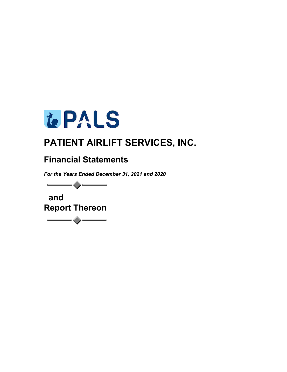

## **Financial Statements**

 $\longrightarrow$ 

*For the Years Ended December 31, 2021 and 2020*

 **and Report Thereon**

 $\overline{\phantom{0}}$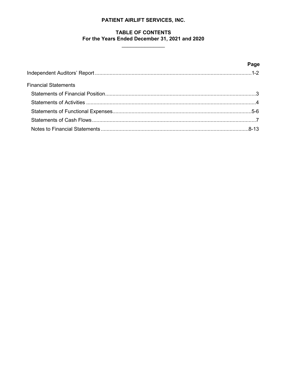## **TABLE OF CONTENTS** For the Years Ended December 31, 2021 and 2020

|                             | Page |
|-----------------------------|------|
|                             |      |
| <b>Financial Statements</b> |      |
|                             |      |
|                             |      |
|                             |      |
|                             |      |
|                             |      |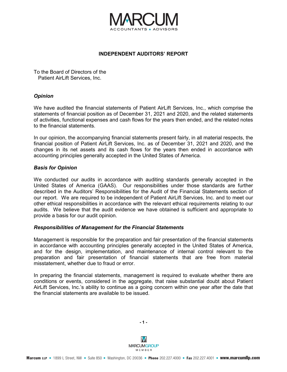

### **INDEPENDENT AUDITORS' REPORT**

To the Board of Directors of the Patient AirLift Services, Inc.

## *Opinion*

We have audited the financial statements of Patient AirLift Services, Inc., which comprise the statements of financial position as of December 31, 2021 and 2020, and the related statements of activities, functional expenses and cash flows for the years then ended, and the related notes to the financial statements.

In our opinion, the accompanying financial statements present fairly, in all material respects, the financial position of Patient AirLift Services, Inc. as of December 31, 2021 and 2020, and the changes in its net assets and its cash flows for the years then ended in accordance with accounting principles generally accepted in the United States of America.

### *Basis for Opinion*

We conducted our audits in accordance with auditing standards generally accepted in the United States of America (GAAS). Our responsibilities under those standards are further described in the Auditors' Responsibilities for the Audit of the Financial Statements section of our report. We are required to be independent of Patient AirLift Services, Inc. and to meet our other ethical responsibilities in accordance with the relevant ethical requirements relating to our audits. We believe that the audit evidence we have obtained is sufficient and appropriate to provide a basis for our audit opinion.

### *Responsibilities of Management for the Financial Statements*

Management is responsible for the preparation and fair presentation of the financial statements in accordance with accounting principles generally accepted in the United States of America, and for the design, implementation, and maintenance of internal control relevant to the preparation and fair presentation of financial statements that are free from material misstatement, whether due to fraud or error.

In preparing the financial statements, management is required to evaluate whether there are conditions or events, considered in the aggregate, that raise substantial doubt about Patient AirLift Services, Inc.'s ability to continue as a going concern within one year after the date that the financial statements are available to be issued.

**- 1 -**

**MARCUMGROUP** MEMBER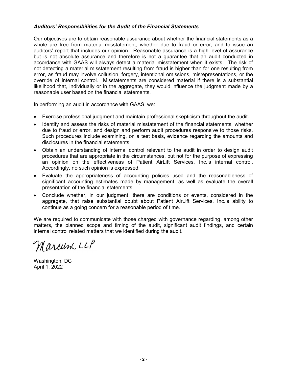## *Auditors' Responsibilities for the Audit of the Financial Statements*

Our objectives are to obtain reasonable assurance about whether the financial statements as a whole are free from material misstatement, whether due to fraud or error, and to issue an auditors' report that includes our opinion. Reasonable assurance is a high level of assurance but is not absolute assurance and therefore is not a guarantee that an audit conducted in accordance with GAAS will always detect a material misstatement when it exists. The risk of not detecting a material misstatement resulting from fraud is higher than for one resulting from error, as fraud may involve collusion, forgery, intentional omissions, misrepresentations, or the override of internal control. Misstatements are considered material if there is a substantial likelihood that, individually or in the aggregate, they would influence the judgment made by a reasonable user based on the financial statements.

In performing an audit in accordance with GAAS, we:

- Exercise professional judgment and maintain professional skepticism throughout the audit.
- Identify and assess the risks of material misstatement of the financial statements, whether due to fraud or error, and design and perform audit procedures responsive to those risks. Such procedures include examining, on a test basis, evidence regarding the amounts and disclosures in the financial statements.
- Obtain an understanding of internal control relevant to the audit in order to design audit procedures that are appropriate in the circumstances, but not for the purpose of expressing an opinion on the effectiveness of Patient AirLift Services, Inc.'s internal control. Accordingly, no such opinion is expressed.
- Evaluate the appropriateness of accounting policies used and the reasonableness of significant accounting estimates made by management, as well as evaluate the overall presentation of the financial statements.
- Conclude whether, in our judgment, there are conditions or events, considered in the aggregate, that raise substantial doubt about Patient AirLift Services, Inc.'s ability to continue as a going concern for a reasonable period of time.

We are required to communicate with those charged with governance regarding, among other matters, the planned scope and timing of the audit, significant audit findings, and certain internal control related matters that we identified during the audit.

Marcum LLP

Washington, DC April 1, 2022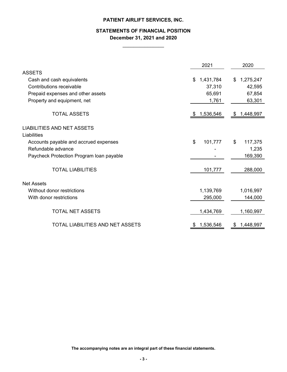## **STATEMENTS OF FINANCIAL POSITION December 31, 2021 and 2020**

 $\overline{\phantom{a}}$  , where  $\overline{\phantom{a}}$ 

|                                          | 2021            | 2020            |
|------------------------------------------|-----------------|-----------------|
| <b>ASSETS</b>                            |                 |                 |
| Cash and cash equivalents                | 1,431,784<br>\$ | \$<br>1,275,247 |
| Contributions receivable                 | 37,310          | 42,595          |
| Prepaid expenses and other assets        | 65,691          | 67,854          |
| Property and equipment, net              | 1,761           | 63,301          |
| <b>TOTAL ASSETS</b>                      | 1,536,546<br>\$ | 1,448,997<br>\$ |
| <b>LIABILITIES AND NET ASSETS</b>        |                 |                 |
| Liabilities                              |                 |                 |
| Accounts payable and accrued expenses    | \$<br>101,777   | \$<br>117,375   |
| Refundable advance                       |                 | 1,235           |
| Paycheck Protection Program loan payable |                 | 169,390         |
| <b>TOTAL LIABILITIES</b>                 | 101,777         | 288,000         |
| <b>Net Assets</b>                        |                 |                 |
| Without donor restrictions               | 1,139,769       | 1,016,997       |
| With donor restrictions                  | 295,000         | 144,000         |
| <b>TOTAL NET ASSETS</b>                  | 1,434,769       | 1,160,997       |
| <b>TOTAL LIABILITIES AND NET ASSETS</b>  | 1,536,546<br>\$ | 1,448,997<br>\$ |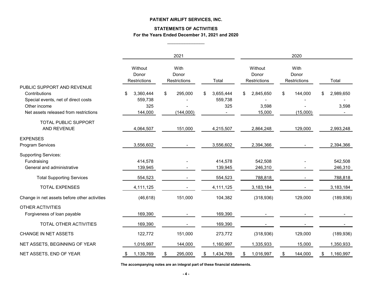## **STATEMENTS OF ACTIVITIES For the Years Ended December 31, 2021 and 2020**

 $\frac{1}{2}$  ,  $\frac{1}{2}$  ,  $\frac{1}{2}$  ,  $\frac{1}{2}$  ,  $\frac{1}{2}$  ,  $\frac{1}{2}$  ,  $\frac{1}{2}$  ,  $\frac{1}{2}$  ,  $\frac{1}{2}$  ,  $\frac{1}{2}$  ,  $\frac{1}{2}$  ,  $\frac{1}{2}$  ,  $\frac{1}{2}$  ,  $\frac{1}{2}$  ,  $\frac{1}{2}$  ,  $\frac{1}{2}$  ,  $\frac{1}{2}$  ,  $\frac{1}{2}$  ,  $\frac{1$ 

|                                                                                                                                             |                                              | 2021                                 |                                   |                                         | 2020                                 |                          |
|---------------------------------------------------------------------------------------------------------------------------------------------|----------------------------------------------|--------------------------------------|-----------------------------------|-----------------------------------------|--------------------------------------|--------------------------|
|                                                                                                                                             | Without<br>Donor<br><b>Restrictions</b>      | With<br>Donor<br><b>Restrictions</b> | Total                             | Without<br>Donor<br><b>Restrictions</b> | With<br>Donor<br><b>Restrictions</b> | Total                    |
| PUBLIC SUPPORT AND REVENUE<br>Contributions<br>Special events, net of direct costs<br>Other income<br>Net assets released from restrictions | 3,360,444<br>\$<br>559,738<br>325<br>144,000 | \$<br>295,000<br>(144,000)           | \$<br>3,655,444<br>559,738<br>325 | \$<br>2,845,650<br>3,598<br>15,000      | \$<br>144,000<br>(15,000)            | \$<br>2,989,650<br>3,598 |
| <b>TOTAL PUBLIC SUPPORT</b><br><b>AND REVENUE</b>                                                                                           | 4,064,507                                    | 151,000                              | 4,215,507                         | 2,864,248                               | 129,000                              | 2,993,248                |
| <b>EXPENSES</b><br><b>Program Services</b>                                                                                                  | 3,556,602                                    |                                      | 3,556,602                         | 2,394,366                               |                                      | 2,394,366                |
| <b>Supporting Services:</b><br>Fundraising<br>General and administrative                                                                    | 414,578<br>139,945                           |                                      | 414,578<br>139,945                | 542,508<br>246,310                      |                                      | 542,508<br>246,310       |
| <b>Total Supporting Services</b>                                                                                                            | 554,523                                      |                                      | 554,523                           | 788,818                                 |                                      | 788,818                  |
| <b>TOTAL EXPENSES</b><br>Change in net assets before other activities                                                                       | 4,111,125<br>(46, 618)                       | 151,000                              | 4,111,125<br>104,382              | 3,183,184<br>(318, 936)                 | 129,000                              | 3,183,184<br>(189, 936)  |
| <b>OTHER ACTIVITIES</b><br>Forgiveness of loan payable                                                                                      | 169,390                                      |                                      | 169,390                           |                                         |                                      |                          |
| <b>TOTAL OTHER ACTIVITIES</b>                                                                                                               | 169,390                                      |                                      | 169,390                           |                                         |                                      |                          |
| <b>CHANGE IN NET ASSETS</b>                                                                                                                 | 122,772                                      | 151,000                              | 273,772                           | (318, 936)                              | 129,000                              | (189, 936)               |
| NET ASSETS, BEGINNING OF YEAR                                                                                                               | 1,016,997                                    | 144,000                              | 1,160,997                         | 1,335,933                               | 15,000                               | 1,350,933                |
| NET ASSETS, END OF YEAR                                                                                                                     | 1,139,769<br>\$                              | \$<br>295,000                        | \$<br>1,434,769                   | \$<br>1,016,997                         | \$<br>144,000                        | \$<br>1,160,997          |

**The accompanying notes are an integral part of these financial statements.**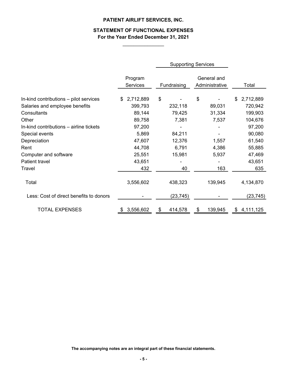## **STATEMENT OF FUNCTIONAL EXPENSES For the Year Ended December 31, 2021**

 $\frac{1}{2}$ 

|                                         |                            | <b>Supporting Services</b> |                               |                   |
|-----------------------------------------|----------------------------|----------------------------|-------------------------------|-------------------|
|                                         | Program<br><b>Services</b> | Fundraising                | General and<br>Administrative | Total             |
|                                         |                            |                            |                               |                   |
| In-kind contributions - pilot services  | 2,712,889<br>S             | \$                         | \$                            | 2,712,889<br>\$   |
| Salaries and employee benefits          | 399,793                    | 232,118                    | 89,031                        | 720,942           |
| Consultants                             | 89,144                     | 79,425                     | 31,334                        | 199,903           |
| Other                                   | 89,758                     | 7,381                      | 7,537                         | 104,676           |
| In-kind contributions - airline tickets | 97,200                     |                            |                               | 97,200            |
| Special events                          | 5,869                      | 84,211                     |                               | 90,080            |
| Depreciation                            | 47,607                     | 12,376                     | 1,557                         | 61,540            |
| Rent                                    | 44,708                     | 6,791                      | 4,386                         | 55,885            |
| Computer and software                   | 25,551                     | 15,981                     | 5,937                         | 47,469            |
| <b>Patient travel</b>                   | 43,651                     |                            |                               | 43,651            |
| Travel                                  | 432                        | 40                         | 163                           | 635               |
| Total                                   | 3,556,602                  | 438,323                    | 139,945                       | 4,134,870         |
| Less: Cost of direct benefits to donors |                            | (23, 745)                  |                               | (23, 745)         |
| <b>TOTAL EXPENSES</b>                   | 3,556,602                  | 414,578<br>\$              | 139,945<br>\$                 | 4, 111, 125<br>\$ |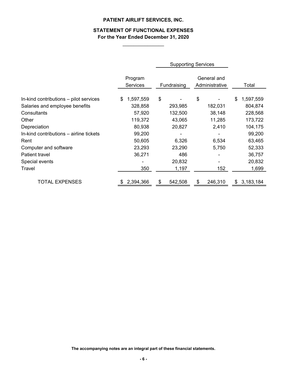## **STATEMENT OF FUNCTIONAL EXPENSES For the Year Ended December 31, 2020**

 $\frac{1}{2}$ 

|                                         |                            | <b>Supporting Services</b> |                               |                 |
|-----------------------------------------|----------------------------|----------------------------|-------------------------------|-----------------|
|                                         | Program<br><b>Services</b> | Fundraising                | General and<br>Administrative | Total           |
| In-kind contributions – pilot services  | 1,597,559<br>\$            | \$                         | \$                            | \$<br>1,597,559 |
| Salaries and employee benefits          | 328,858                    | 293,985                    | 182,031                       | 804,874         |
| Consultants                             | 57,920                     | 132,500                    | 38,148                        | 228,568         |
| Other                                   | 119,372                    | 43,065                     | 11,285                        | 173,722         |
| Depreciation                            | 80,938                     | 20,827                     | 2,410                         | 104,175         |
| In-kind contributions - airline tickets | 99,200                     |                            |                               | 99,200          |
| Rent                                    | 50,605                     | 6,326                      | 6,534                         | 63,465          |
| Computer and software                   | 23,293                     | 23,290                     | 5,750                         | 52,333          |
| <b>Patient travel</b>                   | 36,271                     | 486                        |                               | 36,757          |
| Special events                          |                            | 20,832                     |                               | 20,832          |
| Travel                                  | 350                        | 1,197                      | 152                           | 1,699           |
| <b>TOTAL EXPENSES</b>                   | 2,394,366                  | 542,508<br>\$              | 246,310<br>\$                 | 3,183,184<br>\$ |

**The accompanying notes are an integral part of these financial statements.**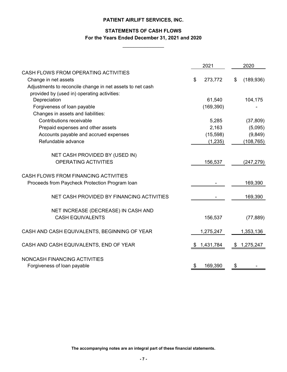## **STATEMENTS OF CASH FLOWS For the Years Ended December 31, 2021 and 2020**

 $\frac{1}{2}$ 

|                                                           | 2021          |    | 2020       |
|-----------------------------------------------------------|---------------|----|------------|
| CASH FLOWS FROM OPERATING ACTIVITIES                      |               |    |            |
| Change in net assets                                      | \$<br>273,772 | \$ | (189, 936) |
| Adjustments to reconcile change in net assets to net cash |               |    |            |
| provided by (used in) operating activities:               |               |    |            |
| Depreciation                                              | 61,540        |    | 104,175    |
| Forgiveness of loan payable                               | (169, 390)    |    |            |
| Changes in assets and liabilities:                        |               |    |            |
| Contributions receivable                                  | 5,285         |    | (37, 809)  |
| Prepaid expenses and other assets                         | 2,163         |    | (5,095)    |
| Accounts payable and accrued expenses                     | (15, 598)     |    | (9,849)    |
| Refundable advance                                        | (1,235)       |    | (108, 765) |
|                                                           |               |    |            |
| NET CASH PROVIDED BY (USED IN)                            |               |    |            |
| <b>OPERATING ACTIVITIES</b>                               | 156,537       |    | (247, 279) |
|                                                           |               |    |            |
| CASH FLOWS FROM FINANCING ACTIVITIES                      |               |    |            |
| Proceeds from Paycheck Protection Program Ioan            |               |    | 169,390    |
|                                                           |               |    |            |
| NET CASH PROVIDED BY FINANCING ACTIVITIES                 |               |    | 169,390    |
|                                                           |               |    |            |
| NET INCREASE (DECREASE) IN CASH AND                       |               |    |            |
| <b>CASH EQUIVALENTS</b>                                   | 156,537       |    | (77, 889)  |
|                                                           |               |    |            |
| CASH AND CASH EQUIVALENTS, BEGINNING OF YEAR              | 1,275,247     |    | 1,353,136  |
|                                                           |               |    |            |
| CASH AND CASH EQUIVALENTS, END OF YEAR                    | 1,431,784     | S. | 1,275,247  |
|                                                           |               |    |            |
| NONCASH FINANCING ACTIVITIES                              |               |    |            |
| Forgiveness of loan payable                               | 169,390       | \$ |            |
|                                                           |               |    |            |

**The accompanying notes are an integral part of these financial statements.**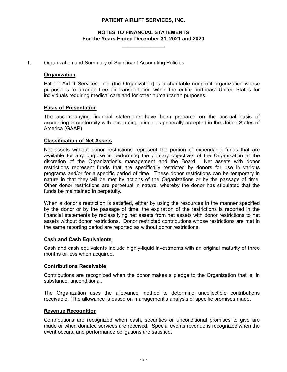## **NOTES TO FINANCIAL STATEMENTS For the Years Ended December 31, 2021 and 2020**

 $\overline{\phantom{a}}$  , where  $\overline{\phantom{a}}$ 

## 1. Organization and Summary of Significant Accounting Policies

## **Organization**

Patient AirLift Services, Inc. (the Organization) is a charitable nonprofit organization whose purpose is to arrange free air transportation within the entire northeast United States for individuals requiring medical care and for other humanitarian purposes.

## **Basis of Presentation**

The accompanying financial statements have been prepared on the accrual basis of accounting in conformity with accounting principles generally accepted in the United States of America (GAAP).

## **Classification of Net Assets**

Net assets without donor restrictions represent the portion of expendable funds that are available for any purpose in performing the primary objectives of the Organization at the discretion of the Organization's management and the Board. Net assets with donor restrictions represent funds that are specifically restricted by donors for use in various programs and/or for a specific period of time. These donor restrictions can be temporary in nature in that they will be met by actions of the Organizations or by the passage of time. Other donor restrictions are perpetual in nature, whereby the donor has stipulated that the funds be maintained in perpetuity.

When a donor's restriction is satisfied, either by using the resources in the manner specified by the donor or by the passage of time, the expiration of the restrictions is reported in the financial statements by reclassifying net assets from net assets with donor restrictions to net assets without donor restrictions. Donor restricted contributions whose restrictions are met in the same reporting period are reported as without donor restrictions.

## **Cash and Cash Equivalents**

Cash and cash equivalents include highly-liquid investments with an original maturity of three months or less when acquired.

### **Contributions Receivable**

Contributions are recognized when the donor makes a pledge to the Organization that is, in substance, unconditional.

The Organization uses the allowance method to determine uncollectible contributions receivable. The allowance is based on management's analysis of specific promises made.

### **Revenue Recognition**

Contributions are recognized when cash, securities or unconditional promises to give are made or when donated services are received. Special events revenue is recognized when the event occurs, and performance obligations are satisfied.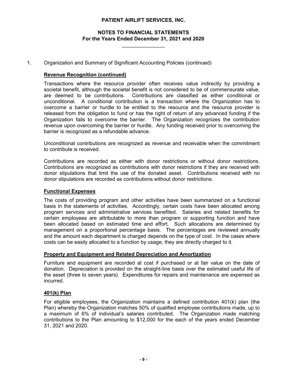## **NOTES TO FINANCIAL STATEMENTS For the Years Ended December 31, 2021 and 2020**

 $\overline{\phantom{a}}$  , where  $\overline{\phantom{a}}$ 

1. Organization and Summary of Significant Accounting Policies (continued)

## **Revenue Recognition (continued)**

Transactions where the resource provider often receives value indirectly by providing a societal benefit, although the societal benefit is not considered to be of commensurate value, are deemed to be contributions. Contributions are classified as either conditional or Contributions are classified as either conditional or unconditional. A conditional contribution is a transaction where the Organization has to overcome a barrier or hurdle to be entitled to the resource and the resource provider is released from the obligation to fund or has the right of return of any advanced funding if the Organization fails to overcome the barrier. The Organization recognizes the contribution revenue upon overcoming the barrier or hurdle. Any funding received prior to overcoming the barrier is recognized as a refundable advance.

Unconditional contributions are recognized as revenue and receivable when the commitment to contribute is received.

Contributions are recorded as either with donor restrictions or without donor restrictions. Contributions are recognized as contributions with donor restrictions if they are received with donor stipulations that limit the use of the donated asset. Contributions received with no donor stipulations are recorded as contributions without donor restrictions.

## **Functional Expenses**

The costs of providing program and other activities have been summarized on a functional basis in the statements of activities. Accordingly, certain costs have been allocated among program services and administrative services benefited. Salaries and related benefits for certain employees are attributable to more than program or supporting function and have been allocated based on estimated time and effort. Such allocations are determined by management on a proportional percentage basis. The percentages are reviewed annually and the amount each department is charged depends on the type of cost. In the cases where costs can be easily allocated to a function by usage, they are directly charged to it.

## **Property and Equipment and Related Depreciation and Amortization**

Furniture and equipment are recorded at cost if purchased or at fair value on the date of donation. Depreciation is provided on the straight-line basis over the estimated useful life of the asset (three to seven years). Expenditures for repairs and maintenance are expensed as incurred.

## **401(k) Plan**

For eligible employees, the Organization maintains a defined contribution 401(k) plan (the Plan) whereby the Organization matches 50% of qualified employee contributions made, up to a maximum of 6% of individual's salaries contributed. The Organization made matching contributions to the Plan amounting to \$12,000 for the each of the years ended December 31, 2021 and 2020.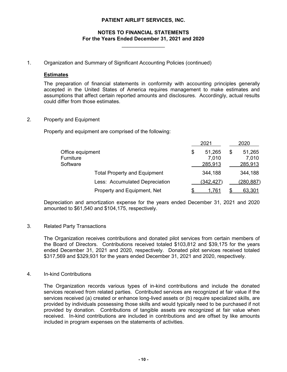## **NOTES TO FINANCIAL STATEMENTS For the Years Ended December 31, 2021 and 2020**

 $\overline{\phantom{a}}$  , where  $\overline{\phantom{a}}$ 

1. Organization and Summary of Significant Accounting Policies (continued)

## **Estimates**

The preparation of financial statements in conformity with accounting principles generally accepted in the United States of America requires management to make estimates and assumptions that affect certain reported amounts and disclosures. Accordingly, actual results could differ from those estimates.

2. Property and Equipment

Property and equipment are comprised of the following:

|                                           |                                     | 2021                             | 2020                             |
|-------------------------------------------|-------------------------------------|----------------------------------|----------------------------------|
| Office equipment<br>Furniture<br>Software |                                     | \$<br>51,265<br>7,010<br>285,913 | \$<br>51,265<br>7,010<br>285,913 |
|                                           | <b>Total Property and Equipment</b> | 344,188                          | 344,188                          |
|                                           | Less: Accumulated Depreciation      | (342,427)                        | (280,887)                        |
|                                           | Property and Equipment, Net         | <u>1,761</u>                     | <u>63,301</u>                    |

Depreciation and amortization expense for the years ended December 31, 2021 and 2020 amounted to \$61,540 and \$104,175, respectively.

## 3. Related Party Transactions

The Organization receives contributions and donated pilot services from certain members of the Board of Directors. Contributions received totaled \$103,812 and \$39,175 for the years ended December 31, 2021 and 2020, respectively. Donated pilot services received totaled \$317,569 and \$329,931 for the years ended December 31, 2021 and 2020, respectively.

## 4. In-kind Contributions

The Organization records various types of in-kind contributions and include the donated services received from related parties. Contributed services are recognized at fair value if the services received (a) created or enhance long-lived assets or (b) require specialized skills, are provided by individuals possessing those skills and would typically need to be purchased if not provided by donation. Contributions of tangible assets are recognized at fair value when received. In-kind contributions are included in contributions and are offset by like amounts included in program expenses on the statements of activities.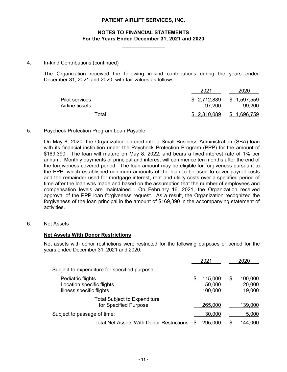## **NOTES TO FINANCIAL STATEMENTS For the Years Ended December 31, 2021 and 2020**

 $\overline{\phantom{a}}$  , where  $\overline{\phantom{a}}$ 

### 4. In-kind Contributions (continued)

The Organization received the following in-kind contributions during the years ended December 31, 2021 and 2020, with fair values as follows:

|                 | 2021                      |             |
|-----------------|---------------------------|-------------|
| Pilot services  | $$2,712,889$ $$1,597,559$ |             |
| Airline tickets | 97.200                    | 99,200      |
| Total           | \$ 2,810,089              | \$1,696,759 |

### 5. Paycheck Protection Program Loan Payable

On May 8, 2020, the Organization entered into a Small Business Administration (SBA) loan with its financial institution under the Paycheck Protection Program (PPP) for the amount of \$169,390. The loan will mature on May 8, 2022, and bears a fixed interest rate of 1% per annum. Monthly payments of principal and interest will commence ten months after the end of the forgiveness covered period. The loan amount may be eligible for forgiveness pursuant to the PPP, which established minimum amounts of the loan to be used to cover payroll costs and the remainder used for mortgage interest, rent and utility costs over a specified period of time after the loan was made and based on the assumption that the number of employees and compensation levels are maintained. On February 16, 2021, the Organization received approval of the PPP loan forgiveness request. As a result, the Organization recognized the forgiveness of the loan principal in the amount of \$169,390 in the accompanying statement of activities.

### 6. Net Assets

### **Net Assets With Donor Restrictions**

Net assets with donor restrictions were restricted for the following purposes or period for the years ended December 31, 2021 and 2020:

|                                                                            |   | 2021                         |   | 2020                        |
|----------------------------------------------------------------------------|---|------------------------------|---|-----------------------------|
| Subject to expenditure for specified purpose:                              |   |                              |   |                             |
| Pediatric flights<br>Location specific flights<br>Illness specific flights | S | 115,000<br>50,000<br>100,000 | S | 100,000<br>20,000<br>19,000 |
| <b>Total Subject to Expenditure</b><br>for Specified Purpose               |   | 265,000                      |   | 139,000                     |
| Subject to passage of time:                                                |   | 30,000                       |   | 5,000                       |
| <b>Total Net Assets With Donor Restrictions</b>                            |   | 295.000                      |   | 44.000                      |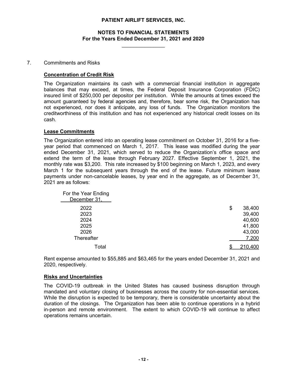## **NOTES TO FINANCIAL STATEMENTS For the Years Ended December 31, 2021 and 2020**

 $\overline{\phantom{a}}$  , where  $\overline{\phantom{a}}$ 

7. Commitments and Risks

## **Concentration of Credit Risk**

The Organization maintains its cash with a commercial financial institution in aggregate balances that may exceed, at times, the Federal Deposit Insurance Corporation (FDIC) insured limit of \$250,000 per depositor per institution. While the amounts at times exceed the amount guaranteed by federal agencies and, therefore, bear some risk, the Organization has not experienced, nor does it anticipate, any loss of funds. The Organization monitors the creditworthiness of this institution and has not experienced any historical credit losses on its cash.

## **Lease Commitments**

The Organization entered into an operating lease commitment on October 31, 2016 for a fiveyear period that commenced on March 1, 2017. This lease was modified during the year ended December 31, 2021, which served to reduce the Organization's office space and extend the term of the lease through February 2027. Effective September 1, 2021, the monthly rate was \$3,200. This rate increased by \$100 beginning on March 1, 2023, and every March 1 for the subsequent years through the end of the lease. Future minimum lease payments under non-cancelable leases, by year end in the aggregate, as of December 31, 2021 are as follows:

| For the Year Ending<br>December 31, |              |
|-------------------------------------|--------------|
| 2022                                | \$<br>38,400 |
| 2023                                | 39,400       |
| 2024                                | 40,600       |
| 2025                                | 41,800       |
| 2026                                | 43,000       |
| Thereafter                          | 7,200        |
| Total                               |              |

Rent expense amounted to \$55,885 and \$63,465 for the years ended December 31, 2021 and 2020, respectively.

### **Risks and Uncertainties**

The COVID-19 outbreak in the United States has caused business disruption through mandated and voluntary closing of businesses across the country for non-essential services. While the disruption is expected to be temporary, there is considerable uncertainty about the duration of the closings. The Organization has been able to continue operations in a hybrid in-person and remote environment. The extent to which COVID-19 will continue to affect operations remains uncertain.